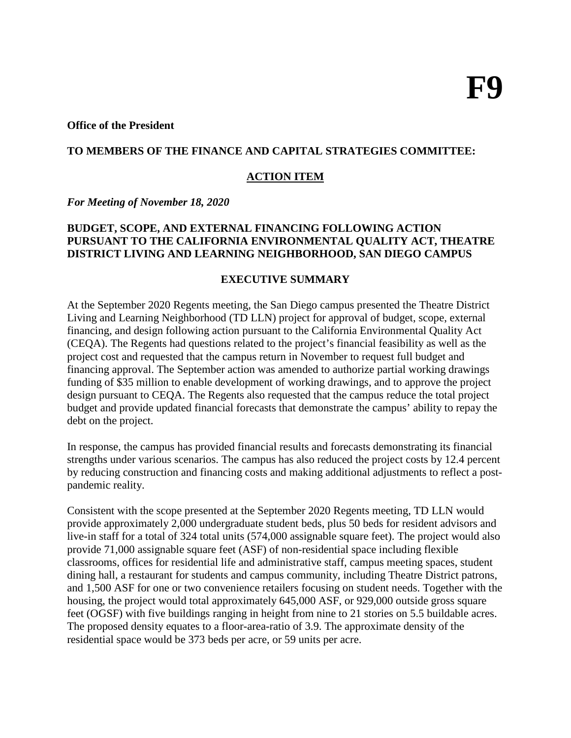#### **Office of the President**

#### **TO MEMBERS OF THE FINANCE AND CAPITAL STRATEGIES COMMITTEE:**

#### **ACTION ITEM**

*For Meeting of November 18, 2020*

#### **BUDGET, SCOPE, AND EXTERNAL FINANCING FOLLOWING ACTION PURSUANT TO THE CALIFORNIA ENVIRONMENTAL QUALITY ACT, THEATRE DISTRICT LIVING AND LEARNING NEIGHBORHOOD, SAN DIEGO CAMPUS**

#### **EXECUTIVE SUMMARY**

At the September 2020 Regents meeting, the San Diego campus presented the Theatre District Living and Learning Neighborhood (TD LLN) project for approval of budget, scope, external financing, and design following action pursuant to the California Environmental Quality Act (CEQA). The Regents had questions related to the project's financial feasibility as well as the project cost and requested that the campus return in November to request full budget and financing approval. The September action was amended to authorize partial working drawings funding of \$35 million to enable development of working drawings, and to approve the project design pursuant to CEQA. The Regents also requested that the campus reduce the total project budget and provide updated financial forecasts that demonstrate the campus' ability to repay the debt on the project.

In response, the campus has provided financial results and forecasts demonstrating its financial strengths under various scenarios. The campus has also reduced the project costs by 12.4 percent by reducing construction and financing costs and making additional adjustments to reflect a postpandemic reality.

Consistent with the scope presented at the September 2020 Regents meeting, TD LLN would provide approximately 2,000 undergraduate student beds, plus 50 beds for resident advisors and live-in staff for a total of 324 total units (574,000 assignable square feet). The project would also provide 71,000 assignable square feet (ASF) of non-residential space including flexible classrooms, offices for residential life and administrative staff, campus meeting spaces, student dining hall, a restaurant for students and campus community, including Theatre District patrons, and 1,500 ASF for one or two convenience retailers focusing on student needs. Together with the housing, the project would total approximately 645,000 ASF, or 929,000 outside gross square feet (OGSF) with five buildings ranging in height from nine to 21 stories on 5.5 buildable acres. The proposed density equates to a floor-area-ratio of 3.9. The approximate density of the residential space would be 373 beds per acre, or 59 units per acre.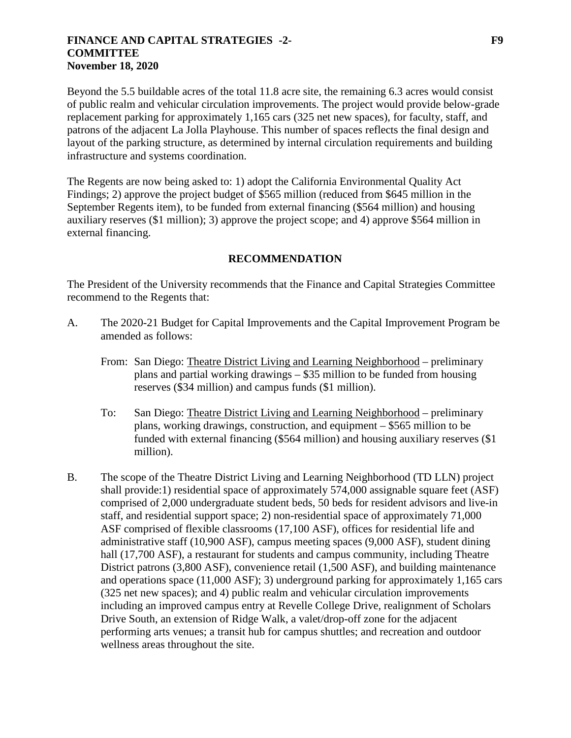#### **FINANCE AND CAPITAL STRATEGIES -2- F9 COMMITTEE November 18, 2020**

Beyond the 5.5 buildable acres of the total 11.8 acre site, the remaining 6.3 acres would consist of public realm and vehicular circulation improvements. The project would provide below-grade replacement parking for approximately 1,165 cars (325 net new spaces), for faculty, staff, and patrons of the adjacent La Jolla Playhouse. This number of spaces reflects the final design and layout of the parking structure, as determined by internal circulation requirements and building infrastructure and systems coordination.

The Regents are now being asked to: 1) adopt the California Environmental Quality Act Findings; 2) approve the project budget of \$565 million (reduced from \$645 million in the September Regents item), to be funded from external financing (\$564 million) and housing auxiliary reserves (\$1 million); 3) approve the project scope; and 4) approve \$564 million in external financing.

### **RECOMMENDATION**

The President of the University recommends that the Finance and Capital Strategies Committee recommend to the Regents that:

- A. The 2020-21 Budget for Capital Improvements and the Capital Improvement Program be amended as follows:
	- From: San Diego: Theatre District Living and Learning Neighborhood preliminary plans and partial working drawings – \$35 million to be funded from housing reserves (\$34 million) and campus funds (\$1 million).
	- To: San Diego: Theatre District Living and Learning Neighborhood preliminary plans, working drawings, construction, and equipment – \$565 million to be funded with external financing (\$564 million) and housing auxiliary reserves (\$1 million).
- B. The scope of the Theatre District Living and Learning Neighborhood (TD LLN) project shall provide:1) residential space of approximately 574,000 assignable square feet (ASF) comprised of 2,000 undergraduate student beds, 50 beds for resident advisors and live-in staff, and residential support space; 2) non-residential space of approximately 71,000 ASF comprised of flexible classrooms (17,100 ASF), offices for residential life and administrative staff (10,900 ASF), campus meeting spaces (9,000 ASF), student dining hall (17,700 ASF), a restaurant for students and campus community, including Theatre District patrons (3,800 ASF), convenience retail (1,500 ASF), and building maintenance and operations space (11,000 ASF); 3) underground parking for approximately 1,165 cars (325 net new spaces); and 4) public realm and vehicular circulation improvements including an improved campus entry at Revelle College Drive, realignment of Scholars Drive South, an extension of Ridge Walk, a valet/drop-off zone for the adjacent performing arts venues; a transit hub for campus shuttles; and recreation and outdoor wellness areas throughout the site.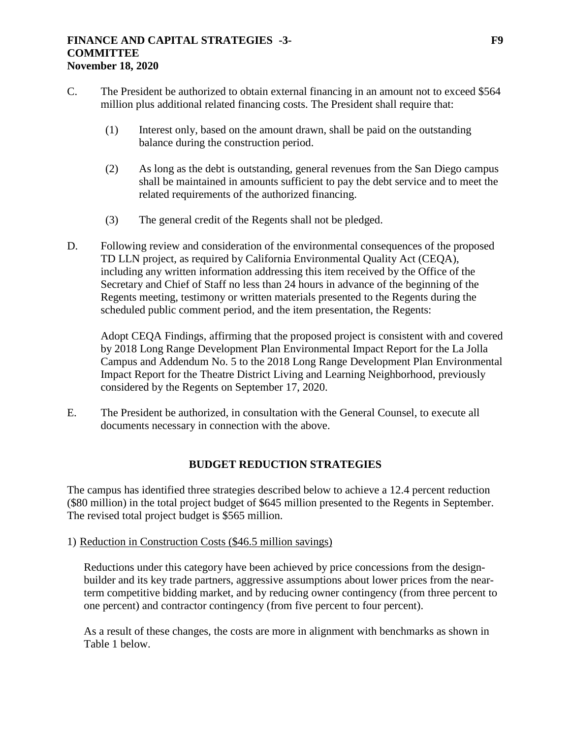#### **FINANCE AND CAPITAL STRATEGIES -3- F9 COMMITTEE November 18, 2020**

- C. The President be authorized to obtain external financing in an amount not to exceed \$564 million plus additional related financing costs. The President shall require that:
	- (1) Interest only, based on the amount drawn, shall be paid on the outstanding balance during the construction period.
	- (2) As long as the debt is outstanding, general revenues from the San Diego campus shall be maintained in amounts sufficient to pay the debt service and to meet the related requirements of the authorized financing.
	- (3) The general credit of the Regents shall not be pledged.
- D. Following review and consideration of the environmental consequences of the proposed TD LLN project, as required by California Environmental Quality Act (CEQA), including any written information addressing this item received by the Office of the Secretary and Chief of Staff no less than 24 hours in advance of the beginning of the Regents meeting, testimony or written materials presented to the Regents during the scheduled public comment period, and the item presentation, the Regents:

Adopt CEQA Findings, affirming that the proposed project is consistent with and covered by 2018 Long Range Development Plan Environmental Impact Report for the La Jolla Campus and Addendum No. 5 to the 2018 Long Range Development Plan Environmental Impact Report for the Theatre District Living and Learning Neighborhood, previously considered by the Regents on September 17, 2020.

E. The President be authorized, in consultation with the General Counsel, to execute all documents necessary in connection with the above.

## **BUDGET REDUCTION STRATEGIES**

The campus has identified three strategies described below to achieve a 12.4 percent reduction (\$80 million) in the total project budget of \$645 million presented to the Regents in September. The revised total project budget is \$565 million.

#### 1) Reduction in Construction Costs (\$46.5 million savings)

Reductions under this category have been achieved by price concessions from the designbuilder and its key trade partners, aggressive assumptions about lower prices from the nearterm competitive bidding market, and by reducing owner contingency (from three percent to one percent) and contractor contingency (from five percent to four percent).

As a result of these changes, the costs are more in alignment with benchmarks as shown in Table 1 below.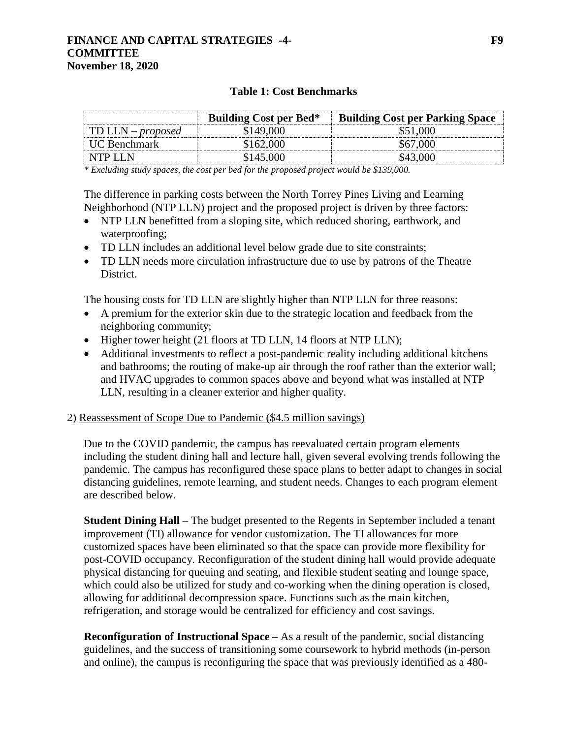#### **FINANCE AND CAPITAL STRATEGIES -4- F9 COMMITTEE November 18, 2020**

### **Table 1: Cost Benchmarks**

|                      | <b>Building Cost per Bed*</b> | <b>Building Cost per Parking Space</b> |
|----------------------|-------------------------------|----------------------------------------|
| TD LLN – proposed    | \$149.000                     |                                        |
| <b>LIC Benchmark</b> | \$162.000                     |                                        |
| NTPLIN               | 8145.006                      |                                        |

*\* Excluding study spaces, the cost per bed for the proposed project would be \$139,000.*

The difference in parking costs between the North Torrey Pines Living and Learning Neighborhood (NTP LLN) project and the proposed project is driven by three factors:

- NTP LLN benefitted from a sloping site, which reduced shoring, earthwork, and waterproofing;
- TD LLN includes an additional level below grade due to site constraints;
- TD LLN needs more circulation infrastructure due to use by patrons of the Theatre District.

The housing costs for TD LLN are slightly higher than NTP LLN for three reasons:

- A premium for the exterior skin due to the strategic location and feedback from the neighboring community;
- Higher tower height (21 floors at TD LLN, 14 floors at NTP LLN);
- Additional investments to reflect a post-pandemic reality including additional kitchens and bathrooms; the routing of make-up air through the roof rather than the exterior wall; and HVAC upgrades to common spaces above and beyond what was installed at NTP LLN, resulting in a cleaner exterior and higher quality.

## 2) Reassessment of Scope Due to Pandemic (\$4.5 million savings)

Due to the COVID pandemic, the campus has reevaluated certain program elements including the student dining hall and lecture hall, given several evolving trends following the pandemic. The campus has reconfigured these space plans to better adapt to changes in social distancing guidelines, remote learning, and student needs. Changes to each program element are described below.

**Student Dining Hall** – The budget presented to the Regents in September included a tenant improvement (TI) allowance for vendor customization. The TI allowances for more customized spaces have been eliminated so that the space can provide more flexibility for post-COVID occupancy. Reconfiguration of the student dining hall would provide adequate physical distancing for queuing and seating, and flexible student seating and lounge space, which could also be utilized for study and co-working when the dining operation is closed, allowing for additional decompression space. Functions such as the main kitchen, refrigeration, and storage would be centralized for efficiency and cost savings.

**Reconfiguration of Instructional Space** – As a result of the pandemic, social distancing guidelines, and the success of transitioning some coursework to hybrid methods (in-person and online), the campus is reconfiguring the space that was previously identified as a 480-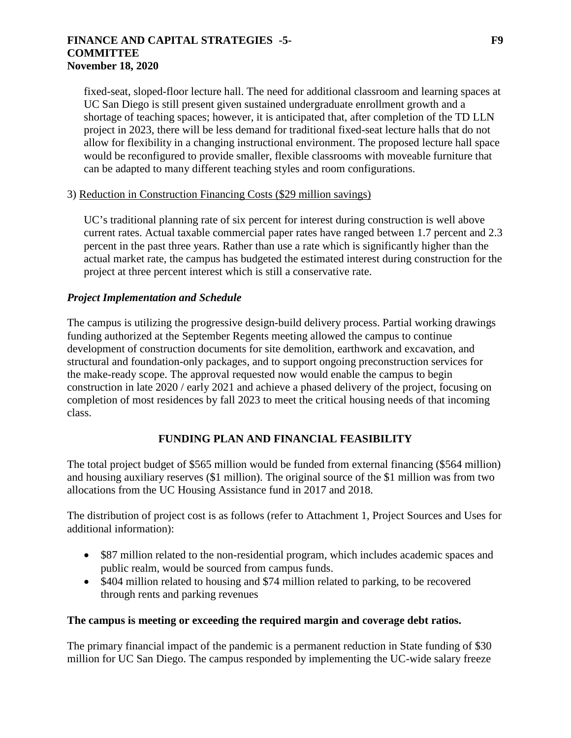#### **FINANCE AND CAPITAL STRATEGIES -5- F9 COMMITTEE November 18, 2020**

fixed-seat, sloped-floor lecture hall. The need for additional classroom and learning spaces at UC San Diego is still present given sustained undergraduate enrollment growth and a shortage of teaching spaces; however, it is anticipated that, after completion of the TD LLN project in 2023, there will be less demand for traditional fixed-seat lecture halls that do not allow for flexibility in a changing instructional environment. The proposed lecture hall space would be reconfigured to provide smaller, flexible classrooms with moveable furniture that can be adapted to many different teaching styles and room configurations.

## 3) Reduction in Construction Financing Costs (\$29 million savings)

UC's traditional planning rate of six percent for interest during construction is well above current rates. Actual taxable commercial paper rates have ranged between 1.7 percent and 2.3 percent in the past three years. Rather than use a rate which is significantly higher than the actual market rate, the campus has budgeted the estimated interest during construction for the project at three percent interest which is still a conservative rate.

## *Project Implementation and Schedule*

The campus is utilizing the progressive design-build delivery process. Partial working drawings funding authorized at the September Regents meeting allowed the campus to continue development of construction documents for site demolition, earthwork and excavation, and structural and foundation-only packages, and to support ongoing preconstruction services for the make-ready scope. The approval requested now would enable the campus to begin construction in late 2020 / early 2021 and achieve a phased delivery of the project, focusing on completion of most residences by fall 2023 to meet the critical housing needs of that incoming class.

# **FUNDING PLAN AND FINANCIAL FEASIBILITY**

The total project budget of \$565 million would be funded from external financing (\$564 million) and housing auxiliary reserves (\$1 million). The original source of the \$1 million was from two allocations from the UC Housing Assistance fund in 2017 and 2018.

The distribution of project cost is as follows (refer to Attachment 1, Project Sources and Uses for additional information):

- \$87 million related to the non-residential program, which includes academic spaces and public realm, would be sourced from campus funds.
- \$404 million related to housing and \$74 million related to parking, to be recovered through rents and parking revenues

#### **The campus is meeting or exceeding the required margin and coverage debt ratios.**

The primary financial impact of the pandemic is a permanent reduction in State funding of \$30 million for UC San Diego. The campus responded by implementing the UC-wide salary freeze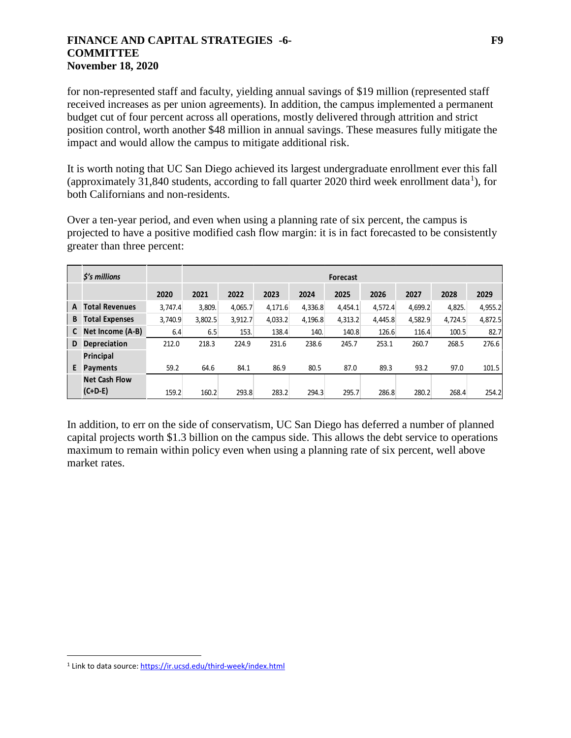#### **FINANCE AND CAPITAL STRATEGIES -6- F9 COMMITTEE November 18, 2020**

for non-represented staff and faculty, yielding annual savings of \$19 million (represented staff received increases as per union agreements). In addition, the campus implemented a permanent budget cut of four percent across all operations, mostly delivered through attrition and strict position control, worth another \$48 million in annual savings. These measures fully mitigate the impact and would allow the campus to mitigate additional risk.

It is worth noting that UC San Diego achieved its largest undergraduate enrollment ever this fall (approximately 3[1](#page-5-0),840 students, according to fall quarter 2020 third week enrollment data<sup>1</sup>), for both Californians and non-residents.

Over a ten-year period, and even when using a planning rate of six percent, the campus is projected to have a positive modified cash flow margin: it is in fact forecasted to be consistently greater than three percent:

|   | \$'s millions         |         | <b>Forecast</b> |         |         |         |         |         |         |         |         |
|---|-----------------------|---------|-----------------|---------|---------|---------|---------|---------|---------|---------|---------|
|   |                       | 2020    | 2021            | 2022    | 2023    | 2024    | 2025    | 2026    | 2027    | 2028    | 2029    |
| A | <b>Total Revenues</b> | 3,747.4 | 3,809.          | 4,065.7 | 4,171.6 | 4,336.8 | 4,454.1 | 4,572.4 | 4,699.2 | 4,825.  | 4,955.2 |
| B | <b>Total Expenses</b> | 3,740.9 | 3,802.5         | 3,912.7 | 4,033.2 | 4,196.8 | 4,313.2 | 4.445.8 | 4,582.9 | 4,724.5 | 4,872.5 |
| C | Net Income (A-B)      | 6.4     | 6.5             | 153.    | 138.4   | 140.    | 140.8   | 126.6   | 116.4   | 100.5   | 82.7    |
| D | <b>Depreciation</b>   | 212.0   | 218.3           | 224.9   | 231.6   | 238.6   | 245.7   | 253.1   | 260.7   | 268.5   | 276.6   |
|   | Principal             |         |                 |         |         |         |         |         |         |         |         |
| E | <b>Payments</b>       | 59.2    | 64.6            | 84.1    | 86.9    | 80.5    | 87.0    | 89.3    | 93.2    | 97.0    | 101.5   |
|   | <b>Net Cash Flow</b>  |         |                 |         |         |         |         |         |         |         |         |
|   | $(C+D-E)$             | 159.2   | 160.2           | 293.8   | 283.2   | 294.3   | 295.7   | 286.8   | 280.2   | 268.4   | 254.2   |

In addition, to err on the side of conservatism, UC San Diego has deferred a number of planned capital projects worth \$1.3 billion on the campus side. This allows the debt service to operations maximum to remain within policy even when using a planning rate of six percent, well above market rates.

<span id="page-5-0"></span> <sup>1</sup> Link to data source: <https://ir.ucsd.edu/third-week/index.html>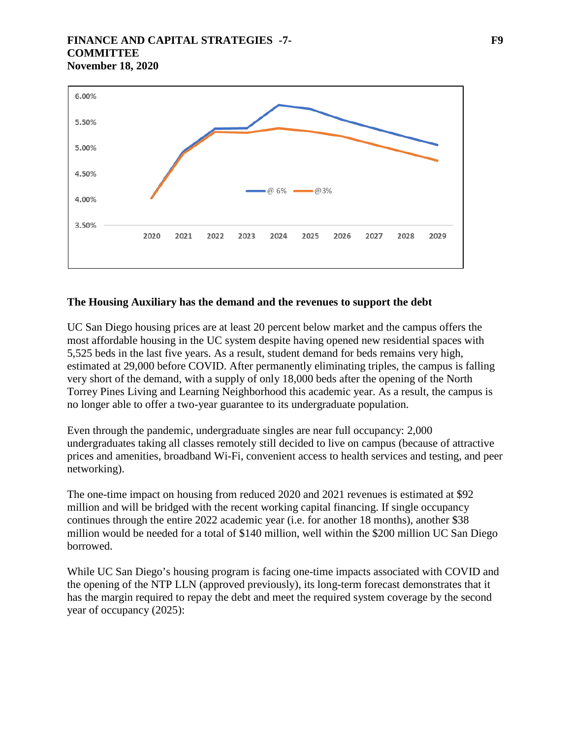### **FINANCE AND CAPITAL STRATEGIES -7- F9 COMMITTEE November 18, 2020**



### **The Housing Auxiliary has the demand and the revenues to support the debt**

UC San Diego housing prices are at least 20 percent below market and the campus offers the most affordable housing in the UC system despite having opened new residential spaces with 5,525 beds in the last five years. As a result, student demand for beds remains very high, estimated at 29,000 before COVID. After permanently eliminating triples, the campus is falling very short of the demand, with a supply of only 18,000 beds after the opening of the North Torrey Pines Living and Learning Neighborhood this academic year. As a result, the campus is no longer able to offer a two-year guarantee to its undergraduate population.

Even through the pandemic, undergraduate singles are near full occupancy: 2,000 undergraduates taking all classes remotely still decided to live on campus (because of attractive prices and amenities, broadband Wi-Fi, convenient access to health services and testing, and peer networking).

The one-time impact on housing from reduced 2020 and 2021 revenues is estimated at \$92 million and will be bridged with the recent working capital financing. If single occupancy continues through the entire 2022 academic year (i.e. for another 18 months), another \$38 million would be needed for a total of \$140 million, well within the \$200 million UC San Diego borrowed.

While UC San Diego's housing program is facing one-time impacts associated with COVID and the opening of the NTP LLN (approved previously), its long-term forecast demonstrates that it has the margin required to repay the debt and meet the required system coverage by the second year of occupancy (2025):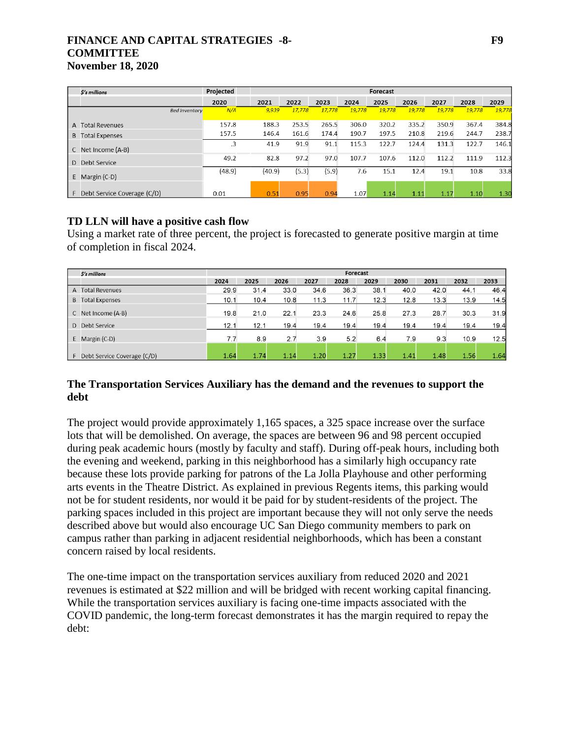### **FINANCE AND CAPITAL STRATEGIES -8- F9 COMMITTEE November 18, 2020**

| <b><i>Ś's millions</i></b>  |                      | Projected |        |        |        |        | Forecast |        |        |        |        |
|-----------------------------|----------------------|-----------|--------|--------|--------|--------|----------|--------|--------|--------|--------|
|                             |                      | 2020      | 2021   | 2022   | 2023   | 2024   | 2025     | 2026   | 2027   | 2028   | 2029   |
|                             | <b>Bed Inventory</b> | N/A       | 9.939  | 17.778 | 17.778 | 19,778 | 19.778   | 19.778 | 19,778 | 19,778 | 19.778 |
| A Total Revenues            |                      | 157.8     | 188.3  | 253.5  | 265.5  | 306.0  | 320.2    | 335.2  | 350.9  | 367.4  | 384.8  |
| <b>Total Expenses</b><br>B. |                      | 157.5     | 146.4  | 161.6  | 174.4  | 190.7  | 197.5    | 210.8  | 219.6  | 244.7  | 238.7  |
| Net Income (A-B)<br>C       |                      |           | 41.9   | 91.9   | 91.1   | 115.3  | 122.7    | 124.4  | 131.3  | 122.7  | 146.1  |
| Debt Service<br>D.          |                      | 49.2      | 82.8   | 97.2   | 97.0   | 107.7  | 107.6    | 112.0  | 112.2  | 111.9  | 112.3  |
| Margin (C-D)<br>E.          |                      | (48.9)    | (40.9) | (5.3)  | (5.9)  | 7.6    | 15.1     | 12.4   | 19.1   | 10.8   | 33.8   |
| Debt Service Coverage (C/D) |                      | 0.01      | 0.51   | 0.95   | 0.94   | 1.07   | 1.14     | 1.11   | 1.17   | 1.10   | 1.30   |

## **TD LLN will have a positive cash flow**

Using a market rate of three percent, the project is forecasted to generate positive margin at time of completion in fiscal 2024.

|    | \$'s millions               |      |      |      |      | Forecast |      |      |      |      |      |
|----|-----------------------------|------|------|------|------|----------|------|------|------|------|------|
|    |                             | 2024 | 2025 | 2026 | 2027 | 2028     | 2029 | 2030 | 2031 | 2032 | 2033 |
|    | A Total Revenues            | 29.9 | 31.4 | 33.0 | 34.6 | 36.3     | 38.1 | 40.0 | 42.0 | 44.1 | 46.4 |
| B. | <b>Total Expenses</b>       | 10.1 | 10.4 | 10.8 | 11.3 | 11.7     | 12.3 | 12.8 | 13.3 | 13.9 | 14.5 |
|    | Net Income (A-B)            | 19.8 | 21.0 | 22.1 | 23.3 | 24.6     | 25.8 | 27.3 | 28.7 | 30.3 | 31.9 |
| D. | Debt Service                | 12.1 | 12.1 | 19.4 | 19.4 | 19.4     | 19.4 | 19.4 | 19.4 | 19.4 | 19.4 |
| E  | Margin (C-D)                | 7.7  | 8.9  | 2.7  | 3.9  | 5.2      | 6.4  | 7.9  | 9.3  | 10.9 | 12.5 |
|    | Debt Service Coverage (C/D) | 1.64 | 1.74 | 1.14 | 1.20 | 1.27     | 1.33 | 1.41 | 1.48 | 1.56 | 1.64 |

### **The Transportation Services Auxiliary has the demand and the revenues to support the debt**

The project would provide approximately 1,165 spaces, a 325 space increase over the surface lots that will be demolished. On average, the spaces are between 96 and 98 percent occupied during peak academic hours (mostly by faculty and staff). During off-peak hours, including both the evening and weekend, parking in this neighborhood has a similarly high occupancy rate because these lots provide parking for patrons of the La Jolla Playhouse and other performing arts events in the Theatre District. As explained in previous Regents items, this parking would not be for student residents, nor would it be paid for by student-residents of the project. The parking spaces included in this project are important because they will not only serve the needs described above but would also encourage UC San Diego community members to park on campus rather than parking in adjacent residential neighborhoods, which has been a constant concern raised by local residents.

The one-time impact on the transportation services auxiliary from reduced 2020 and 2021 revenues is estimated at \$22 million and will be bridged with recent working capital financing. While the transportation services auxiliary is facing one-time impacts associated with the COVID pandemic, the long-term forecast demonstrates it has the margin required to repay the debt: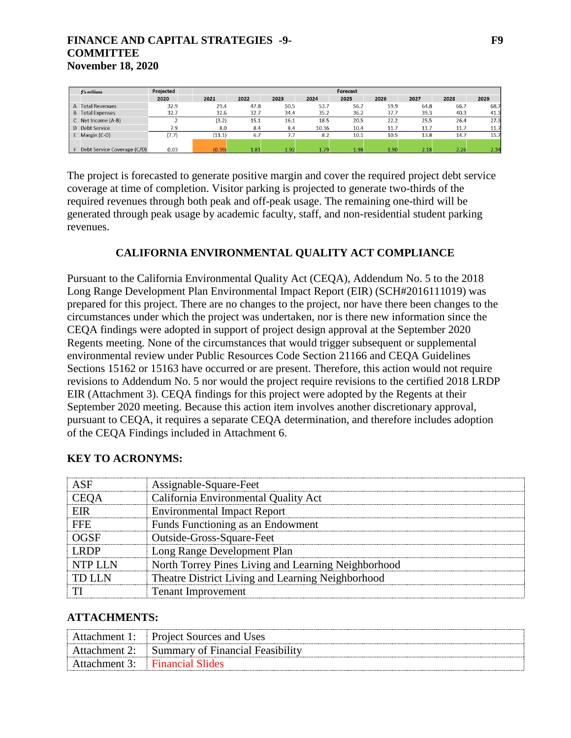### **FINANCE AND CAPITAL STRATEGIES -9- F9 COMMITTEE November 18, 2020**

| $S's$ millions                        | Projected |        |      |      |       | Forecast |      |      |      |      |
|---------------------------------------|-----------|--------|------|------|-------|----------|------|------|------|------|
|                                       | 2020      | 2021   | 2022 | 2023 | 2024  | 2025     | 2026 | 2027 | 2028 | 2029 |
| <b>Total Revenues</b><br>$\mathsf{A}$ | 32.9      | 29.4   | 47.8 | 50.5 | 53.7  | 56.7     | 59.9 | 64.8 | 66.7 | 68.7 |
| <b>B</b> Total Expenses               | 32.7      | 32.6   | 32.7 | 34.4 | 35.2  | 36.2     | 37.7 | 39.3 | 40.3 | 41.3 |
| C Net Income (A-B)                    | ٠         | (3.2)  | 15.1 | 16.1 | 18.5  | 20.5     | 22.2 | 25.5 | 26.4 | 27.3 |
| Debt Service                          | 7.9       | 8.0    | 8.4  | 8.4  | 10.36 | 10.4     | 11.7 | 11.7 | 11.7 | 11.7 |
| Margin (C-D)                          | (7.7)     | (11.1) | 6.7  | 7.7  | 8.2   | 10.1     | 10.5 | 13.8 | 14.7 | 15.7 |
|                                       |           |        |      |      |       |          |      |      |      |      |
| Debt Service Coverage (C/D)           | 0.03      | (0.39) | 1.81 | 1.92 | 1.79  | 1.98     | 1.90 | 2.18 | 2.26 | 2.34 |

The project is forecasted to generate positive margin and cover the required project debt service coverage at time of completion. Visitor parking is projected to generate two-thirds of the required revenues through both peak and off-peak usage. The remaining one-third will be generated through peak usage by academic faculty, staff, and non-residential student parking revenues.

#### **CALIFORNIA ENVIRONMENTAL QUALITY ACT COMPLIANCE**

Pursuant to the California Environmental Quality Act (CEQA), Addendum No. 5 to the 2018 Long Range Development Plan Environmental Impact Report (EIR) (SCH#2016111019) was prepared for this project. There are no changes to the project, nor have there been changes to the circumstances under which the project was undertaken, nor is there new information since the CEQA findings were adopted in support of project design approval at the September 2020 Regents meeting. None of the circumstances that would trigger subsequent or supplemental environmental review under Public Resources Code Section 21166 and CEQA Guidelines Sections 15162 or 15163 have occurred or are present. Therefore, this action would not require revisions to Addendum No. 5 nor would the project require revisions to the certified 2018 LRDP EIR (Attachment 3). CEQA findings for this project were adopted by the Regents at their September 2020 meeting. Because this action item involves another discretionary approval, pursuant to CEQA, it requires a separate CEQA determination, and therefore includes adoption of the CEQA Findings included in Attachment 6.

| Assignable-Square-Feet                              |
|-----------------------------------------------------|
| California Environmental Qualit                     |
| Environmental Impact Report                         |
| Funds Functioning as an Endowment                   |
| Outside-Gross-Square-Feet                           |
| Long Range Development Plan                         |
| North Torrey Pines Living and Learning Neighborhood |
| Theatre District Living and Learning Neighborhood   |
| Tenant Improvement                                  |

#### **KEY TO ACRONYMS:**

#### **ATTACHMENTS:**

| Attachment 1 <sup>.</sup> | <b>Project Sources and Uses</b>               |
|---------------------------|-----------------------------------------------|
| Attachment 2:             | <sup>3</sup> Summary of Financial Feasibility |
| Attachment 3:             | - Financial Slides                            |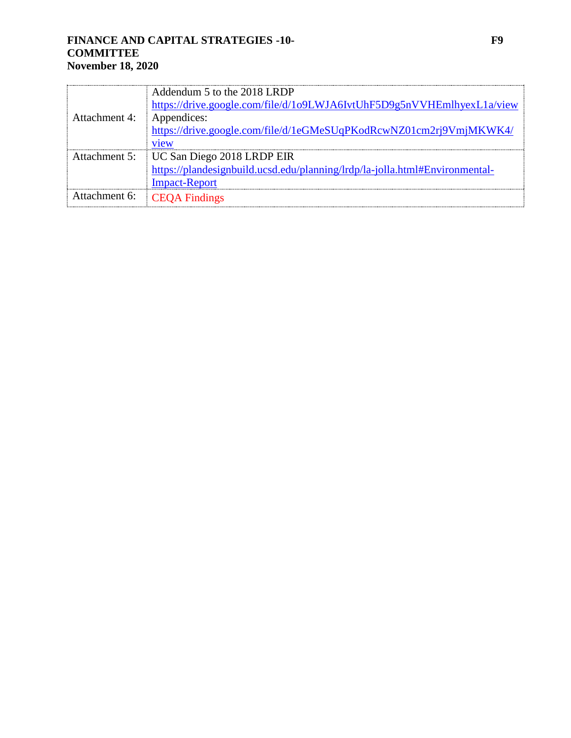## **FINANCE AND CAPITAL STRATEGIES -10- F9 COMMITTEE November 18, 2020**

|               | Addendum 5 to the 2018 LRDP                                                 |
|---------------|-----------------------------------------------------------------------------|
|               | https://drive.google.com/file/d/1o9LWJA6IvtUhF5D9g5nVVHEmlhyexL1a/view      |
| Attachment 4: | Appendices:                                                                 |
|               | https://drive.google.com/file/d/1eGMeSUqPKodRcwNZ01cm2rj9VmjMKWK4/          |
|               | v1ew                                                                        |
| Attachment 5: | UC San Diego 2018 LRDP EIR                                                  |
|               | https://plandesignbuild.ucsd.edu/planning/lrdp/la-jolla.html#Environmental- |
|               | <b>Impact-Report</b>                                                        |
| Attachment 6: | <b>CEQA</b> Findings                                                        |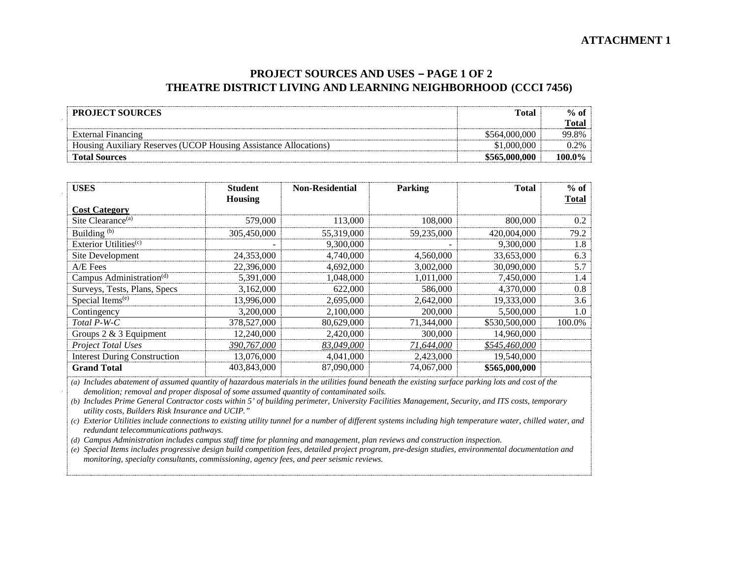### **PROJECT SOURCES AND USES – PAGE 1 OF 2 THEATRE DISTRICT LIVING AND LEARNING NEIGHBORHOOD (CCCI 7456)**

| <b>PROJECT SOURCES</b>                                           | <b>Total</b>  | $%$ of          |
|------------------------------------------------------------------|---------------|-----------------|
|                                                                  |               | Tota.           |
| <b>External Financing</b>                                        | \$564,000,000 | 99.8%           |
| Housing Auxiliary Reserves (UCOP Housing Assistance Allocations) | .000          | 20 <sub>k</sub> |
| <b>Total Sources</b>                                             | \$565,000,000 | 100.0%          |

| USES                                 | <b>Student</b> | <b>Non-Residential</b> | Parking    | Total         | $%$ of |
|--------------------------------------|----------------|------------------------|------------|---------------|--------|
| <b>Cost Category</b>                 | Housing        |                        |            |               | Total  |
| Site Clearance <sup>(a)</sup>        | 579,000        | 113,000                | 108,000    | 800,000       | 0.2    |
| Building <sup>(b)</sup>              | 305,450,000    | 55,319,000             | 59.235,000 | 420,004,000   | 79.2   |
| Exterior Utilities <sup>(c)</sup>    |                | 9,300,000              |            | 9,300,000     | 1.8    |
| Site Development                     | 24,353,000     | 4,740,000              | 4,560,000  | 33,653,000    | 6.3    |
| A/E Fees                             | 22,396,000     | 4,692,000              | 3,002,000  | 30,090,000    | 5.7    |
| Campus Administration <sup>(d)</sup> | 5,391,000      | 1,048,000              | 1,011,000  | 7,450,000     | 1.4    |
| Surveys, Tests, Plans, Specs         | 3,162,000      | 622,000                | 586,000    | 4,370,000     | 0.8    |
| Special Items <sup>(e)</sup>         | 13,996,000     | 2,695,000              | 2.642,000  | 19,333,000    | 3.6    |
| Contingency                          | 3.200.000      | 2,100,000              | 200,000    | 5.500,000     | 1.0    |
| Total P-W-C                          | 378,527,000    | 80,629,000             | 71,344,000 | \$530,500,000 | 100.0% |
| Groups $2 \& 3$ Equipment            | 12,240,000     | 2,420,000              | 300,000    | 14,960,000    |        |
| Project Total Uses                   | 390,767,000    | 83,049,000             | 71,644,000 | \$545,460,000 |        |
| <b>Interest During Construction</b>  | 13,076,000     | 4,041,000              | 2,423,000  | 19,540,000    |        |
| <b>Grand Total</b>                   | 403.843.000    | 87,090,000             | 74.067.000 | \$565,000,000 |        |

*(a) Includes abatement of assumed quantity of hazardous materials in the utilities found beneath the existing surface parking lots and cost of the demolition; removal and proper disposal of some assumed quantity of contaminated soils.* 

*(b) Includes Prime General Contractor costs within 5' of building perimeter, University Facilities Management, Security, and ITS costs, temporary utility costs, Builders Risk Insurance and UCIP."*

*(c) Exterior Utilities include connections to existing utility tunnel for a number of different systems including high temperature water, chilled water, and redundant telecommunications pathways.* 

*(d) Campus Administration includes campus staff time for planning and management, plan reviews and construction inspection.*

*(e) Special Items includes progressive design build competition fees, detailed project program, pre-design studies, environmental documentation and monitoring, specialty consultants, commissioning, agency fees, and peer seismic reviews.*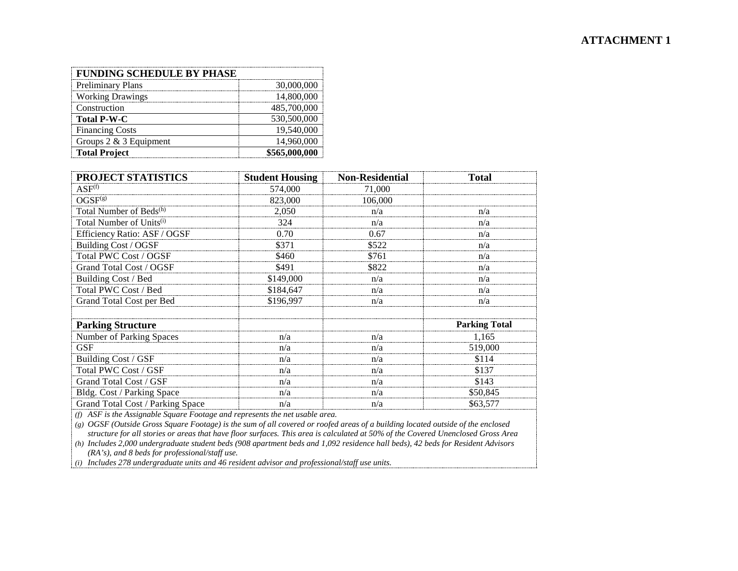| <b>FUNDING SCHEDULE BY PHASE</b> |               |
|----------------------------------|---------------|
| <b>Preliminary Plans</b>         | 30,000,000    |
| <b>Working Drawings</b>          | 14,800,000    |
| Construction                     | 485,700,000   |
| <b>Total P-W-C</b>               | 530,500,000   |
| <b>Financing Costs</b>           | 19,540,000    |
| Groups $2 \& 3$ Equipment        | 14,960,000    |
| <b>Total Project</b>             | \$565,000,000 |

| PROJECT STATISTICS                   | <b>Student Housing</b> | <b>Non-Residential</b> | <b>Total</b>         |
|--------------------------------------|------------------------|------------------------|----------------------|
| $ASF^{(f)}$                          | 574,000                | 71,000                 |                      |
| OGSF <sup>(g)</sup>                  | 823,000                | 106,000                |                      |
| Total Number of Beds <sup>(h)</sup>  | 2.050                  | n/a                    | n/a                  |
| Total Number of Units <sup>(i)</sup> | 324                    | n/a                    | n/a                  |
| Efficiency Ratio: ASF / OGSF         | 0.70                   | 0.67                   | n/a                  |
| Building Cost / OGSF                 | \$371                  | \$522                  | n/a                  |
| Total PWC Cost / OGSF                | \$460                  | \$761                  | n/a                  |
| Grand Total Cost / OGSF              | \$491                  | \$822                  | n/a                  |
| Building Cost / Bed                  | \$149,000              | n/a                    | n/a                  |
| Total PWC Cost / Bed                 | \$184,647              | n/a                    | n/a                  |
| Grand Total Cost per Bed             | \$196,997              | n/a                    | n/a                  |
|                                      |                        |                        |                      |
| <b>Parking Structure</b>             |                        |                        | <b>Parking Total</b> |
| Number of Parking Spaces             | n/a                    | n/a                    | 1.165                |
| <b>GSF</b>                           | n/a                    | n/a                    | 519,000              |
| Building Cost / GSF                  | n/a                    | n/a                    | \$114                |
| Total PWC Cost / GSF                 | n/a                    | n/a                    | \$137                |
| Grand Total Cost / GSF               | n/a                    | n/a                    | \$143                |
| Bldg. Cost / Parking Space           | n/a                    | n/a                    | \$50,845             |
| Grand Total Cost / Parking Space     | n/a                    | n/a                    | \$63,577             |

*(f) ASF is the Assignable Square Footage and represents the net usable area.*

*(g) OGSF (Outside Gross Square Footage) is the sum of all covered or roofed areas of a building located outside of the enclosed structure for all stories or areas that have floor surfaces. This area is calculated at 50% of the Covered Unenclosed Gross Area*

*(h) Includes 2,000 undergraduate student beds (908 apartment beds and 1,092 residence hall beds), 42 beds for Resident Advisors (RA's), and 8 beds for professional/staff use.*

*(i) Includes 278 undergraduate units and 46 resident advisor and professional/staff use units.*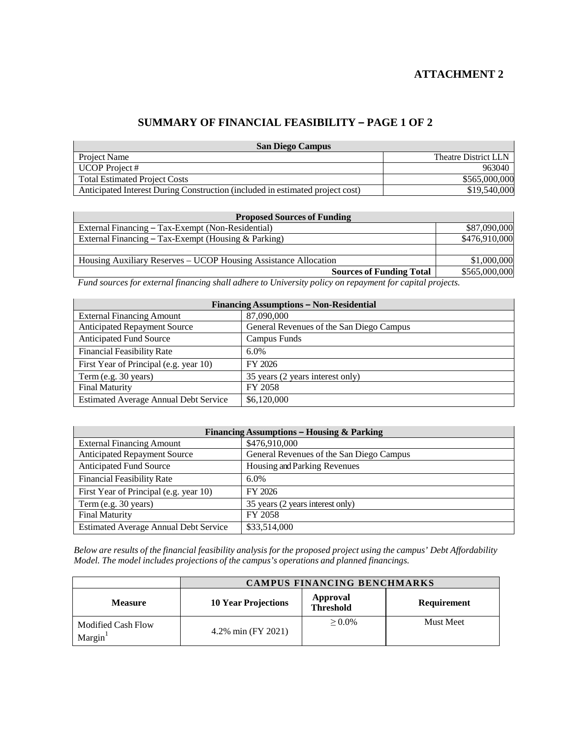## **ATTACHMENT 2**

## **SUMMARY OF FINANCIAL FEASIBILITY – PAGE 1 OF 2**

| <b>San Diego Campus</b>                                                       |                      |  |  |
|-------------------------------------------------------------------------------|----------------------|--|--|
| Project Name                                                                  | Theatre District LLN |  |  |
| <b>UCOP</b> Project #                                                         | 963040               |  |  |
| <b>Total Estimated Project Costs</b>                                          | \$565,000,000        |  |  |
| Anticipated Interest During Construction (included in estimated project cost) | \$19,540,000         |  |  |

| <b>Proposed Sources of Funding</b>                              |               |  |  |
|-----------------------------------------------------------------|---------------|--|--|
| External Financing – Tax-Exempt (Non-Residential)               | \$87,090,000  |  |  |
| External Financing – Tax-Exempt (Housing $&$ Parking)           | \$476,910,000 |  |  |
|                                                                 |               |  |  |
| Housing Auxiliary Reserves – UCOP Housing Assistance Allocation | \$1,000,000   |  |  |
| <b>Sources of Funding Total</b>                                 | \$565,000,000 |  |  |

*Fund sources for external financing shall adhere to University policy on repayment for capital projects.*

| <b>Financing Assumptions - Non-Residential</b> |                                          |  |  |  |
|------------------------------------------------|------------------------------------------|--|--|--|
| <b>External Financing Amount</b>               | 87,090,000                               |  |  |  |
| <b>Anticipated Repayment Source</b>            | General Revenues of the San Diego Campus |  |  |  |
| <b>Anticipated Fund Source</b>                 | Campus Funds                             |  |  |  |
| <b>Financial Feasibility Rate</b>              | $6.0\%$                                  |  |  |  |
| First Year of Principal (e.g. year 10)         | FY 2026                                  |  |  |  |
| Term (e.g. 30 years)                           | 35 years (2 years interest only)         |  |  |  |
| <b>Final Maturity</b>                          | FY 2058                                  |  |  |  |
| <b>Estimated Average Annual Debt Service</b>   | \$6,120,000                              |  |  |  |

| Financing Assumptions - Housing & Parking    |                                          |  |  |
|----------------------------------------------|------------------------------------------|--|--|
| <b>External Financing Amount</b>             | \$476,910,000                            |  |  |
| <b>Anticipated Repayment Source</b>          | General Revenues of the San Diego Campus |  |  |
| <b>Anticipated Fund Source</b>               | Housing and Parking Revenues             |  |  |
| <b>Financial Feasibility Rate</b>            | $6.0\%$                                  |  |  |
| First Year of Principal (e.g. year 10)       | FY 2026                                  |  |  |
| Term (e.g. 30 years)                         | 35 years (2 years interest only)         |  |  |
| <b>Final Maturity</b>                        | FY 2058                                  |  |  |
| <b>Estimated Average Annual Debt Service</b> | \$33,514,000                             |  |  |

Below are results of the financial feasibility analysis for the proposed project using the campus' Debt Affordability *Model. The model includes projections of the campus's operations and planned financings.*

|                                     | <b>CAMPUS FINANCING BENCHMARKS</b> |                                     |                  |
|-------------------------------------|------------------------------------|-------------------------------------|------------------|
| <b>Measure</b>                      | <b>10 Year Projections</b>         | <b>Approval</b><br><b>Threshold</b> | Requirement      |
| <b>Modified Cash Flow</b><br>Margin | 4.2% min (FY 2021)                 | $> 0.0\%$                           | <b>Must Meet</b> |